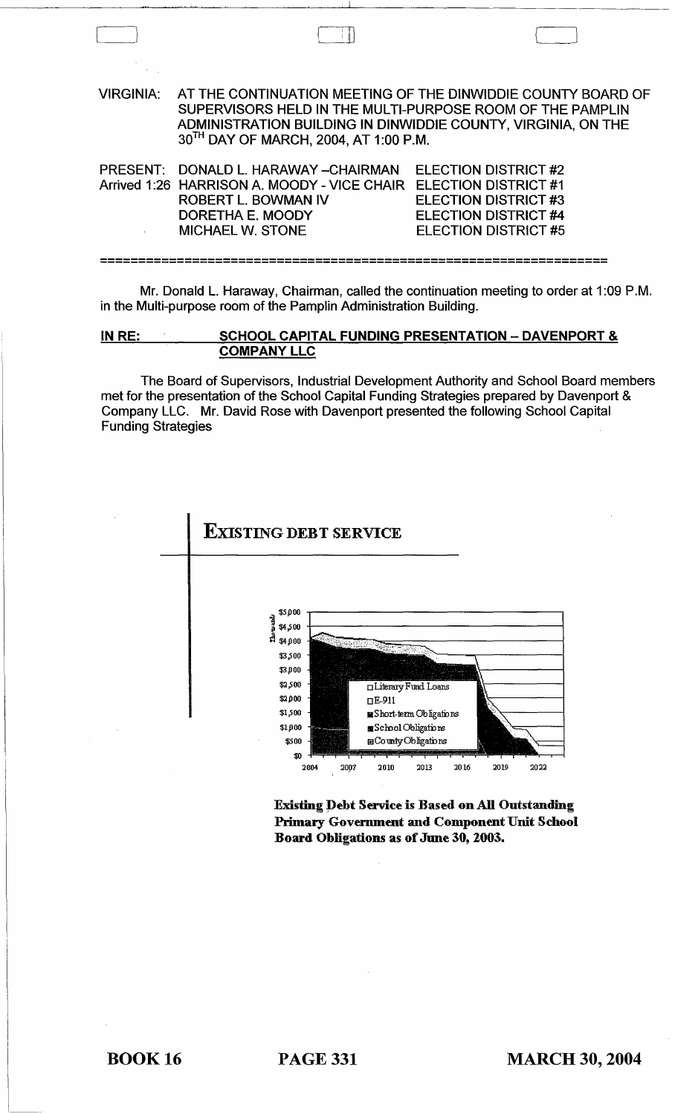VIRGINIA: AT THE CONTINUATION MEETING OF THE DINWIDDIE COUNTY BOARD OF SUPERVISORS HELD IN THE MULTI-PURPOSE ROOM OF THE PAMPLIN ADMINISTRATION BUILDING IN DINWIDDIE COUNTY, VIRGINIA, ON THE 30TH DAY OF MARCH, 2004, AT 1:00 P.M. PRESENT: DONALD L. HARAWAY -- CHAIRMAN Arrived 1:26 HARRISON A. MOODY - VICE CHAIR ELECTION DISTRICT #1 ROBERT L. BOWMAN IV ELECTION DISTRICT #2 ELECTION DISTRICT #3 ELECTION DISTRICT #4 ELECTION DISTRICT #5 DORETHA E. MOODY MICHAEL W. STONE

------------------------------------------------------------------ ------------------------------------------------------------------

Mr. Donald L. Haraway, Chairman, called the continuation meeting to order at 1 :09 P.M. in the Multi-purpose room of the Pamplin Administration Building.

IN RE: SCHOOL CAPITAL FUNDING PRESENTATION - DAVENPORT & COMPANYLLC

The Board of Supervisors, Industrial Development Authority and School Board members met for the presentation of the School Capital Funding Strategies prepared by Davenport & Company LLC. Mr. David Rose with Davenport presented the following School Capital Funding Strategies



Existing Debt Service is Based on All Outstanding Primary Govermnent and Component Unit School Board Obligations as of June 30, 2003.

 $\perp$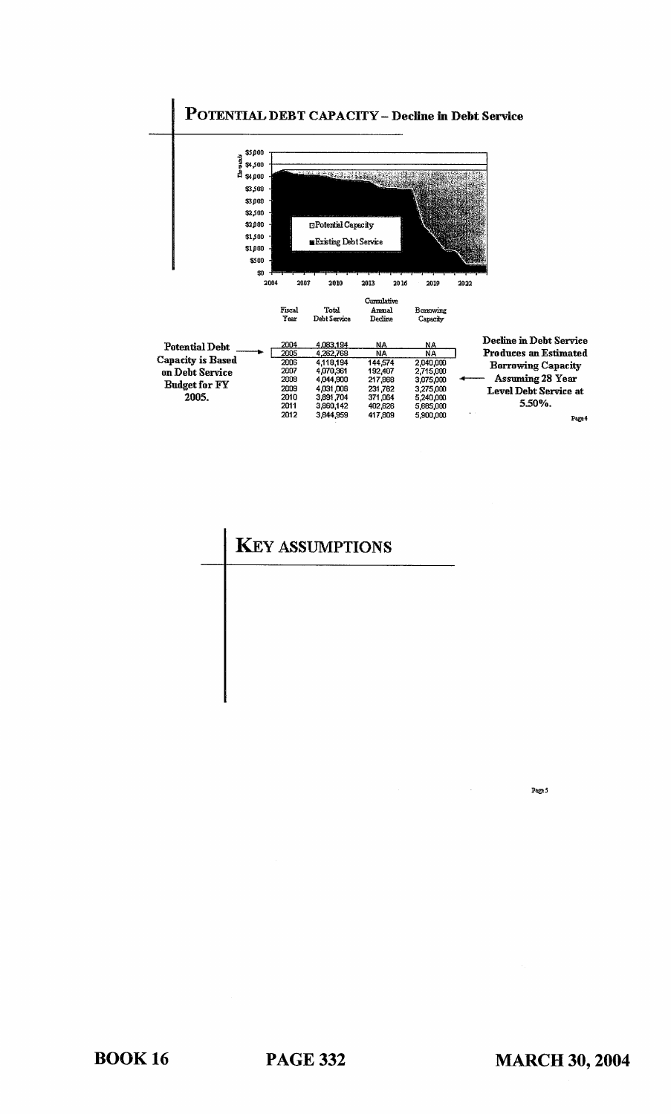

## **KEY ASSUMPTIONS**

Page 5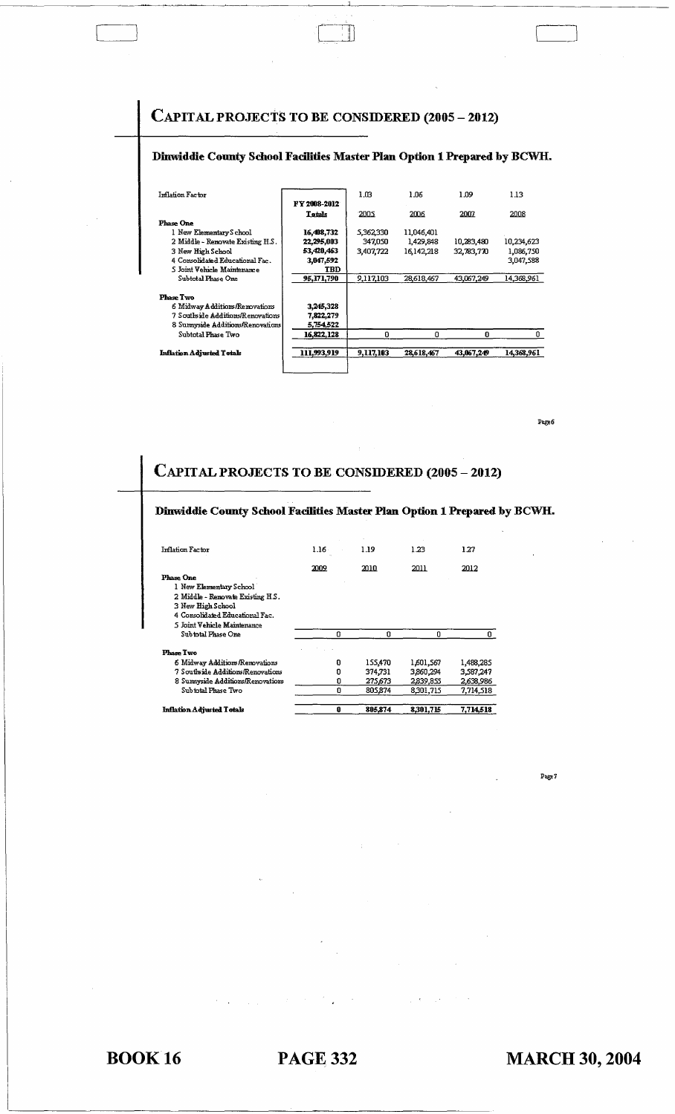## CAPITAL PROJECTS **TO BE CONSIDERED (2005 - 2012)**

#### **Dinwiddie County School Facilities Master Plan Option 1 Prepared by BCWH.**

| 111,993,919   | 9,117,103                         | 28,618,467        | 43,067,249         | 14.368.961         |
|---------------|-----------------------------------|-------------------|--------------------|--------------------|
| 16,822,128    | O                                 | o                 | n                  | o                  |
| 5,754,522     |                                   |                   |                    |                    |
| 7,822,279     |                                   |                   |                    |                    |
| 3,245,328     |                                   |                   |                    |                    |
|               |                                   |                   |                    |                    |
|               |                                   |                   |                    | 14,368,961         |
| <b>TBD</b>    |                                   |                   |                    |                    |
| 3,047,592     |                                   |                   |                    | 3,047,588          |
| 53,420,463    | 3,407,722                         | 16.142.218        | 32,783,770         | 1,086,750          |
| 22,295,003    | 347,050                           | 1,429,848         | 10,283,480         | 10,234,623         |
| 16,408,732    | 5,362,330                         | 11,046,401        |                    |                    |
|               |                                   |                   |                    |                    |
| <b>Tetals</b> | 2005                              | 2006              | 2007               | 2008               |
|               |                                   |                   |                    | 1.13               |
|               | <b>FY 2008-2012</b><br>95,171,790 | 1.03<br>9,117,103 | 1.06<br>28,618,467 | 1.09<br>43,067,249 |

Page 6

# **CAPITAL PROJECTS TO BE CONSIDERED (2005 - 2012)**

| Dinwiddie County School Facilities Master Plan Option 1 Prepared by BCWH. |          |         |             |           |
|---------------------------------------------------------------------------|----------|---------|-------------|-----------|
| Inflation Factor                                                          | 1.16     | 1.19    | 1.23        | 127       |
|                                                                           | 2009     | 2010.   | 2011        | 2012      |
| <b>Phase One</b>                                                          |          |         |             |           |
| 1 New Elementary School                                                   |          |         |             |           |
| 2 Middle - Renovate Existing H.S.                                         |          |         |             |           |
| 3 New High School                                                         |          |         |             |           |
| 4 Consolidated Educational Fac.                                           |          |         |             |           |
| 5 Joint Vehicle Maintenance                                               |          |         |             |           |
| Subintal Phase One                                                        | $\Omega$ | U.      | $\mathbf 0$ | 0         |
| Phase Two                                                                 |          |         |             |           |
| 6 Midway Additions/Renovations                                            | O        | 155,470 | 1,601,567   | 1,488,285 |
| 7 Southside Additions/Renovations                                         | Ð        | 374.731 | 3,860,294   | 3,587,247 |
| 8 Sumyside Additions/Renovations                                          | O        | 275,673 | 2,839,855   | 2,638,986 |
| Subtotal Phase Two                                                        | o        | 805.874 | 8,301,715   | 7,714,518 |
| Inflation Adjusted Totals                                                 | 0        | 805,874 | 8,301,715   | 7,714,518 |

Pogo1

**BOOK·16** PAGE 332 **MARCH 30, 2004**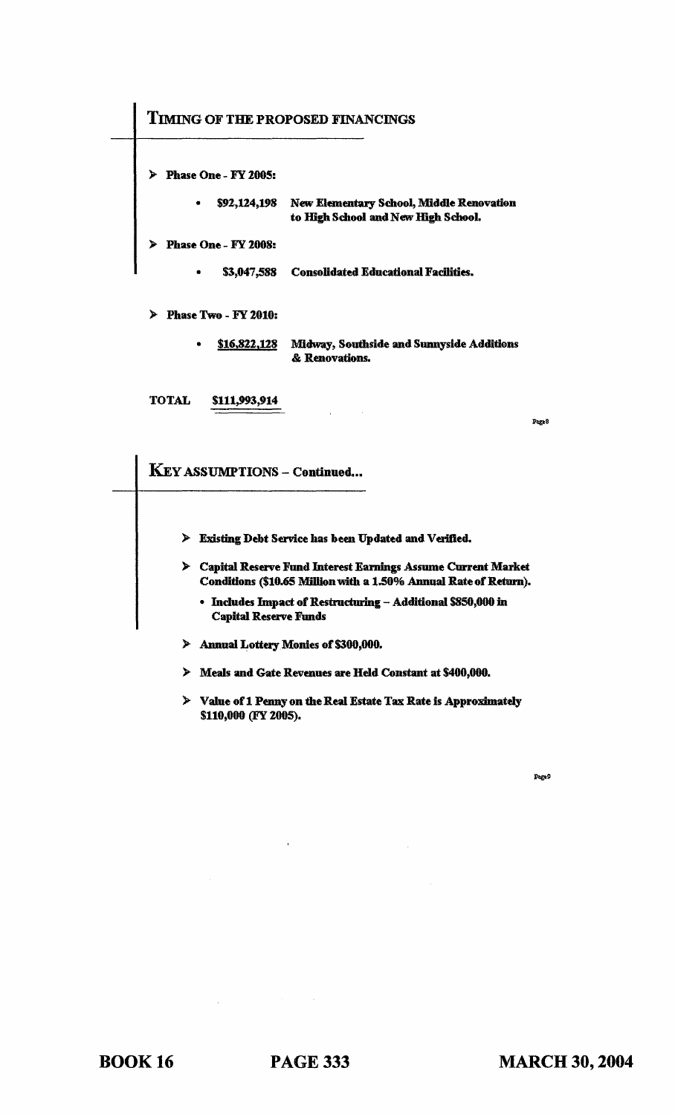### TIMING OF THE PROPOSED FINANCINGS

)- Phase One - FY 2005:

\$92,124,198 New Elementary School, Middle Renovation to High School and New High School.

)- Phase One - FY 2008:

• \$3,047,588 Consolidated Educational Facilities.

:> Phase Two - FY 2010:

• \$16.822,128 Midway, Southside and Sunnyside Additions & Renovations.

TOTAL \$111,993,914

Page 8

KEY ASSUMPTIONS - Continued...

- > Existing Debt Service has been Updated and Verified.
- )- Capital Reserve Fund Interest Eamings Assume Current Market Conditions (\$10.65 Million with a 1.50% Annual Rate of Return).
	- Includes Impact of Restructuring Additional 5850,000 in Capital Reserve Funds
- )- Annual Lottery Monies of \$300,000.
- )- Meals and Gate Revenues are Held Constant at \$400,000.
- :> Value of 1 Penny on the Real Estate Tax Rate is Approximately \$110,000 (FY 2005).

Page 9

BOOK 16 PAGE 333 MARCH 30, 2004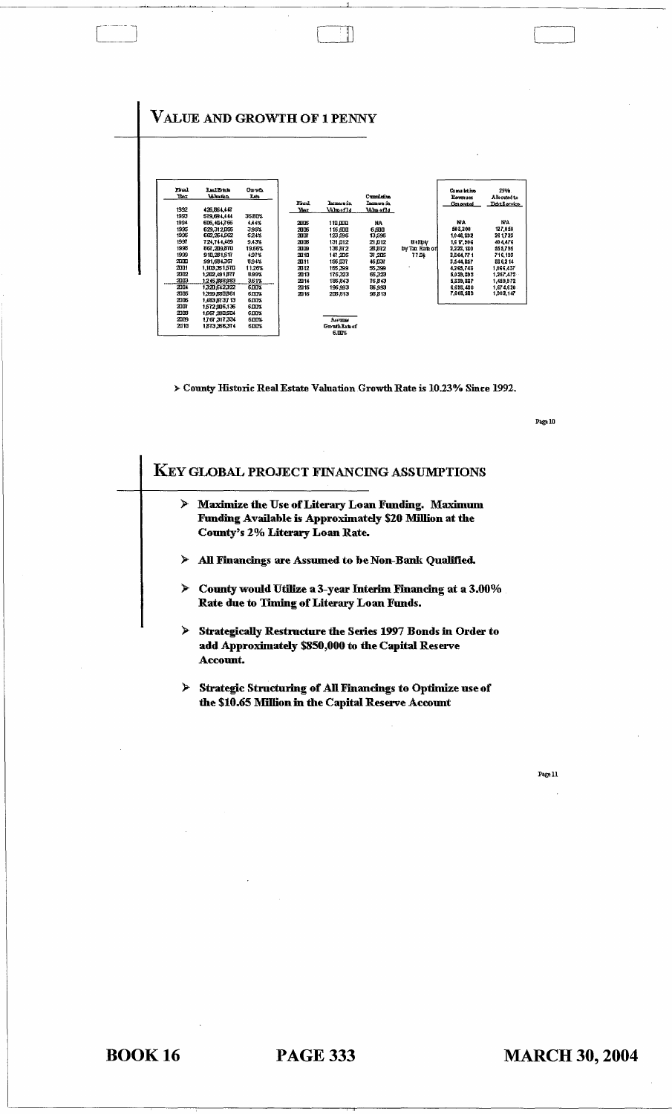

 $\Box$ 

> County Historic Real Estate Valuation Growth Rate is 10.23% Since 1992.

Page 10

| ≻ | <b>Maximize the Use of Literary Loan Funding. Maximum</b><br>Funding Available is Approximately \$20 Million at the                  |
|---|--------------------------------------------------------------------------------------------------------------------------------------|
|   | <b>County's 2% Literary Loan Rate.</b>                                                                                               |
| ≻ | All Financings are Assumed to be Non-Bank Qualified.                                                                                 |
|   | $\triangleright$ County would Utilize a 3-year Interim Financing at a 3.00%<br>Rate due to Timing of Literary Loan Funds.            |
| ⋟ | <b>Strategically Restructure the Series 1997 Bonds in Order to</b><br>add Approximately \$850,000 to the Capital Reserve<br>Account. |
| ≻ | <b>Strategic Structuring of All Financings to Optimize use of</b>                                                                    |

 $Page11$ 

**BOOK 16**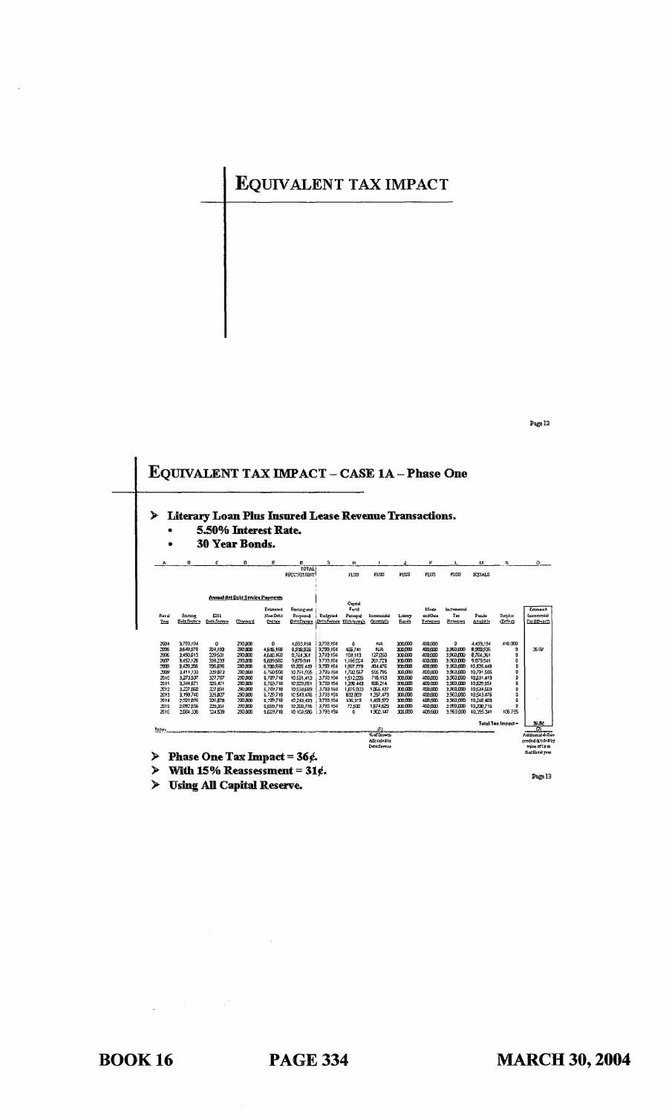## EQUIVALENT TAX IMPACT



> Using All Capital Reserve.

 $\label{eq:2.1} \mathcal{L}(\mathcal{A}) = \mathcal{L}(\mathcal{A}) = \mathcal{L}(\mathcal{A})$ 

Page 13

Page 12

**BOOK 16**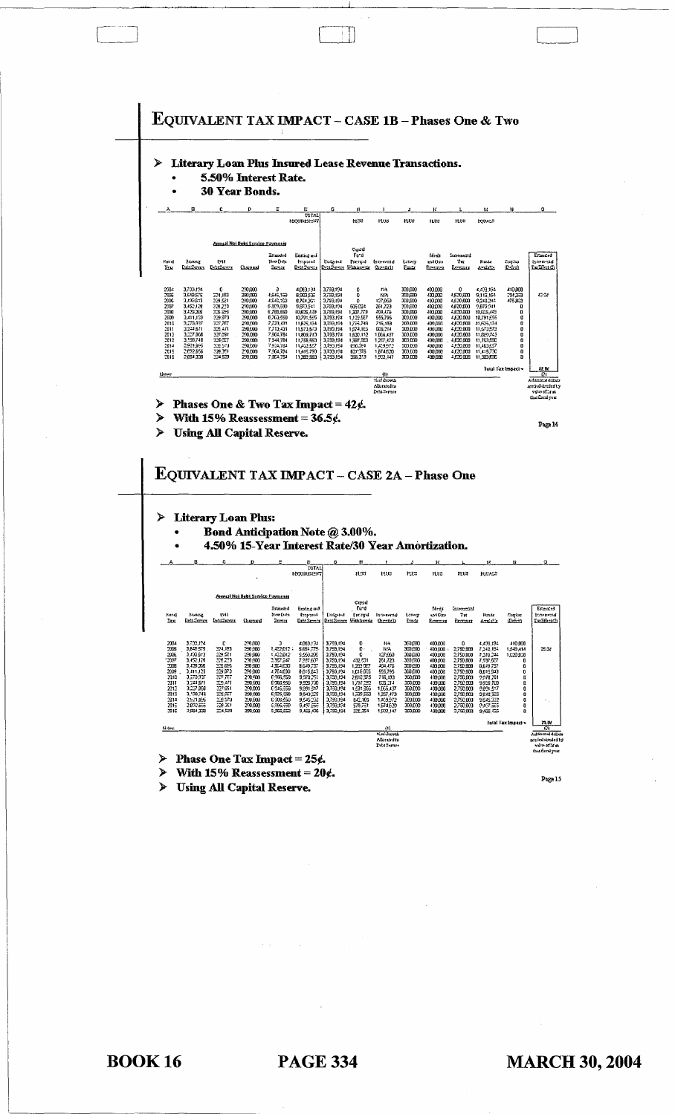

With 15% Reassessment =  $20$ ¢. ¥

 $\mathbf{Page}\, \mathbf{15}$ 

**Using All Capital Reserve.**  $\blacktriangleright$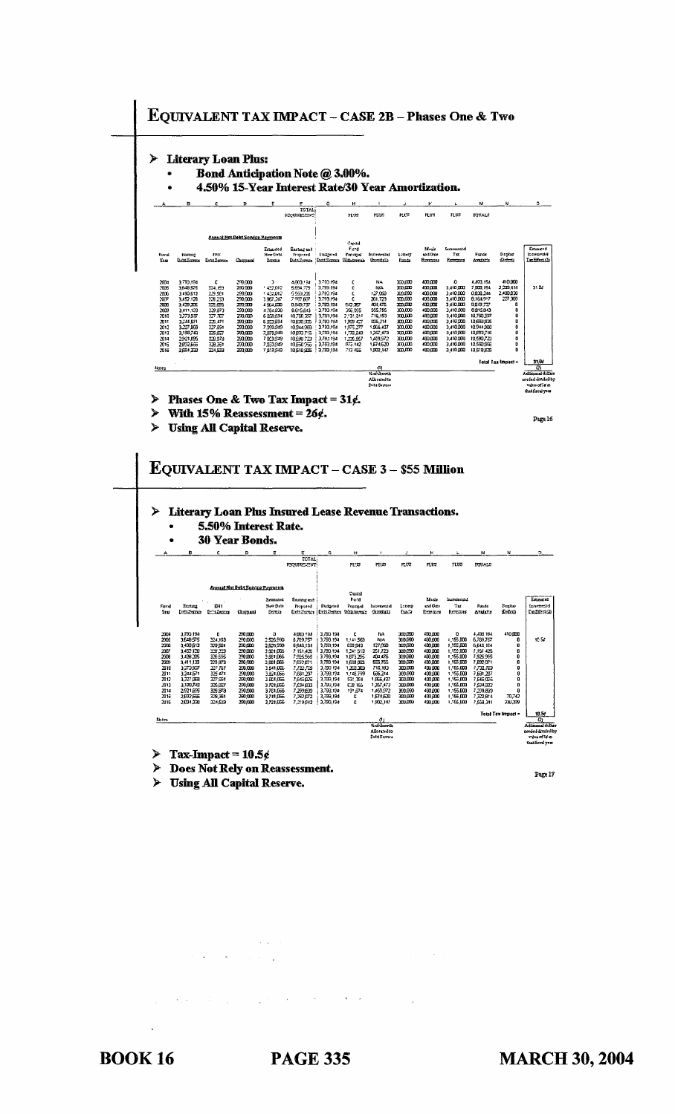

 $\blacktriangleright$ **Using All Capital Reserve.** 

**BOOK 16** 

**PAGE 335** 

 $\sim$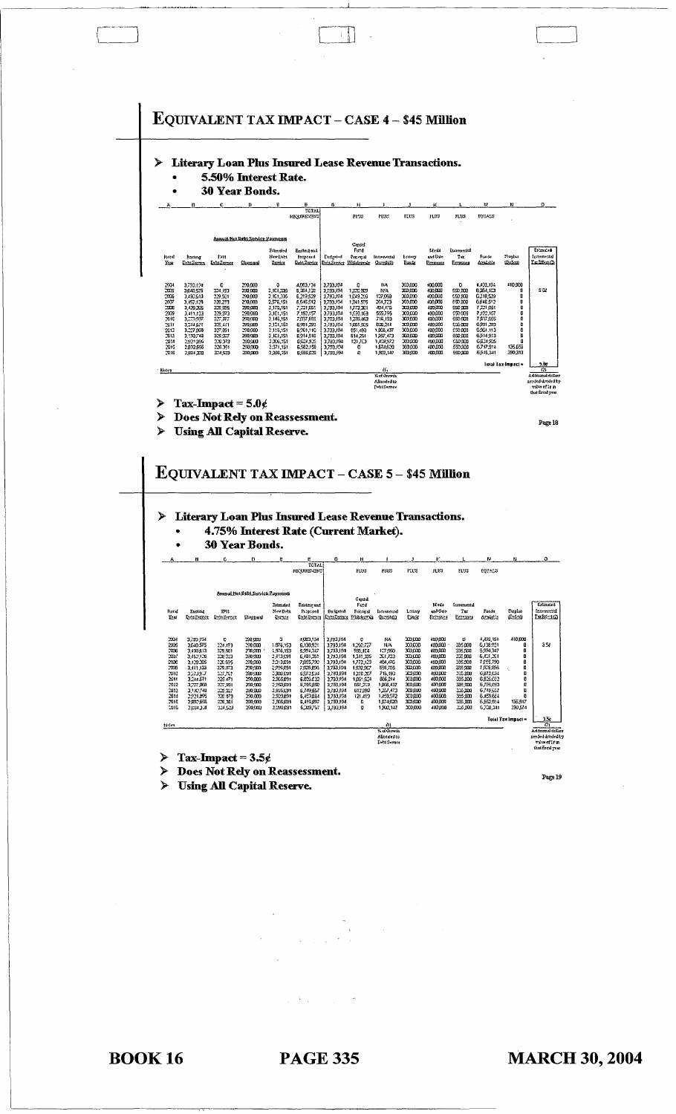

 $\left| \cdot \right|$ 

Does Not Rely on Reassessment. ≻

Page 19

**Using All Capital Reserve.** ⋗

**BOOK 16** 

**PAGE 335**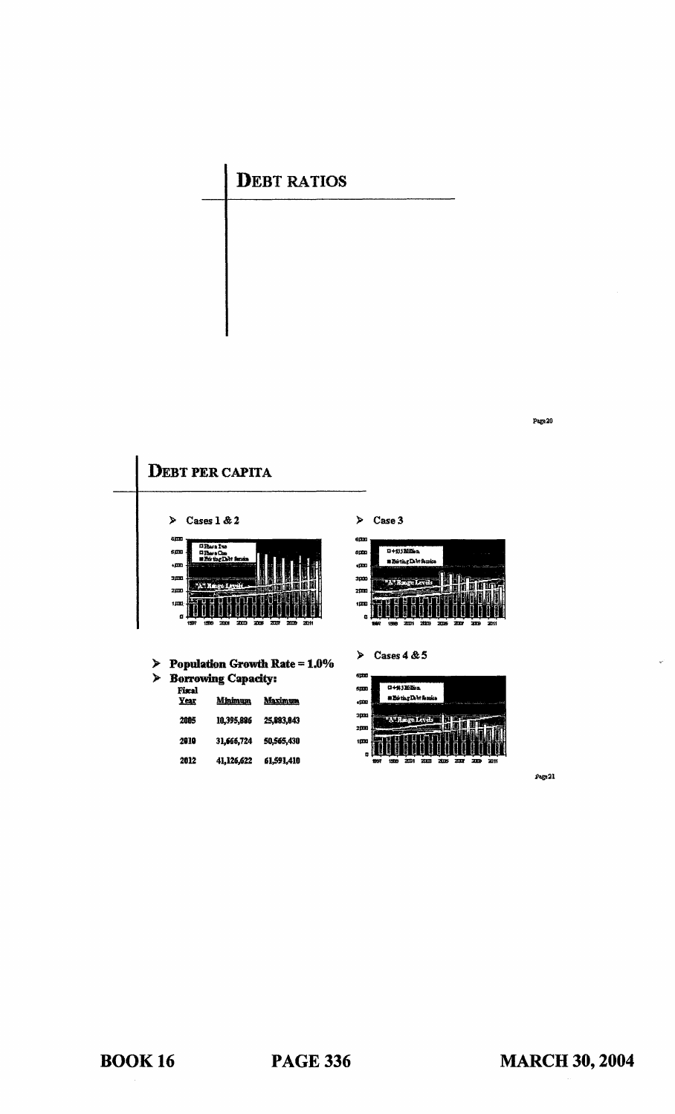# **DEBT RATIOS**

**DEBT PER CAPITA**  $\geq$  Case 3 Cases  $1 & 2$  $\blacktriangleright$ œ D+\$35 Million sm  $500$ elan<br>Clar **Briting Date**  $\frac{1}{2}$ .<br>m 3m 3000 zpx zpo  $100$  $\overline{\mathbf{m}}$ Cases  $4 & 5$  $\blacktriangleright$  $\triangleright$  Population Growth Rate = 1.0%  $\triangleright$  Borrowing Capacity: qœ 0+%3Million Fiscal<br>Year  $500$ ∎BóthrDM8 Minimum Maximum  $\epsilon$ pa 300 2005 10,395,886 25,883,843 A" Range Levels 200 2910 31,666,724 50,565,430  $1000$ 

Page 21

Page 20

2012

41,126,622 61,591,410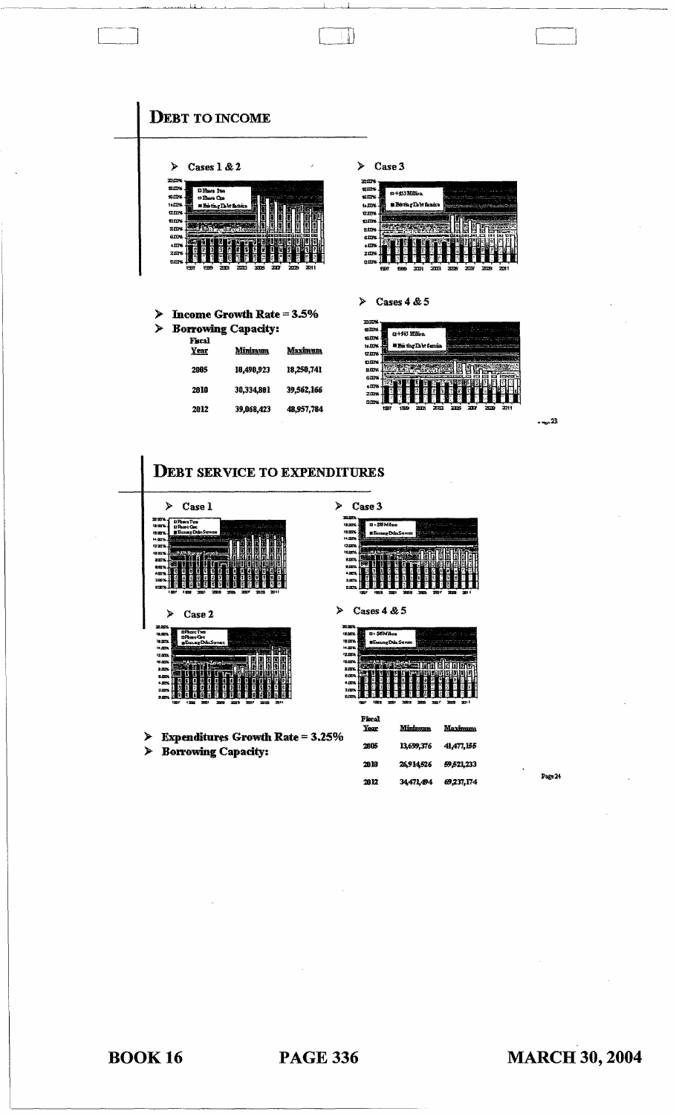

| Þ             |      | Cases $1 & 2$              |        |     |      |    |     |      |
|---------------|------|----------------------------|--------|-----|------|----|-----|------|
| 20.00%        |      |                            |        |     |      |    |     |      |
| 13.DTN        |      | Dihan Ino                  |        |     |      |    |     |      |
| 16.00%        |      | <b>DEMO CAN</b>            |        |     |      |    |     |      |
| 14111%        |      | <b>Exites Delt fantise</b> |        |     |      |    |     |      |
| <b>12.11%</b> |      |                            |        |     |      |    |     |      |
| <b>DOW</b>    |      |                            |        |     |      |    |     |      |
| <b>SDK</b>    |      |                            |        |     |      |    |     |      |
| <b>GITNS</b>  |      |                            |        |     |      |    |     |      |
| $+121%$       |      |                            |        |     |      |    |     |      |
| 2.m%          |      | J.                         | β<br>я | ſ,  | 쫕    |    |     |      |
| <b>turns</b>  |      |                            |        |     |      |    |     |      |
|               | 1997 | 1970                       | zп     | лn. | 77 Y | 28 | 'nв | 2011 |

 $\triangleright$  Income Growth Rate = 3.5%  $\triangleright$  Borrowing Capacity:

| Fiscal<br>Year | <u>Minimum</u> | Maximum    |
|----------------|----------------|------------|
| 2005           | 10.490,923     | 18,250,741 |
| 2810           | 30,334,801     | 39,562,166 |
| 2012           | 39,068,423     | 48,957,784 |

 $\triangleright$  Case 3

 $\Box$ 

| zm                   |      |                    |       |     |     |    |    |      |
|----------------------|------|--------------------|-------|-----|-----|----|----|------|
| 13II‰<br>15.IDM      |      | ¤+55Milba          |       |     |     |    |    |      |
| $14.00\%$            |      | s Boria (La Lerice |       |     |     |    |    |      |
| <b>12.00%</b><br>mms |      |                    |       |     |     |    |    |      |
| gins                 |      |                    |       |     |     |    |    |      |
| GITN.<br>4 ITIN      |      |                    |       |     |     |    |    |      |
| 2.00%                |      |                    |       |     |     |    |    |      |
| <b>DOM</b>           | 1997 | 899                | 200 I | 203 | 205 | ал | 20 | 2011 |

 $\triangleright$  Cases 4 & 5

| nmx           |    |                             |  |  |   |      |
|---------------|----|-----------------------------|--|--|---|------|
| ems           |    |                             |  |  |   |      |
| 15.DK         |    | a+NJ Milea                  |  |  |   |      |
| 14.DDK        |    | <b>MEG the Dobt Survice</b> |  |  |   |      |
| <b>12.17%</b> |    |                             |  |  |   |      |
| nm.           |    |                             |  |  |   |      |
| <b>BIDY</b>   |    |                             |  |  |   |      |
| 6.0%          |    |                             |  |  |   |      |
| $+22\%$       |    |                             |  |  |   |      |
| 2.01%         |    |                             |  |  |   |      |
| 0.0%          |    |                             |  |  |   |      |
|               | ĦΒ |                             |  |  | m | 2011 |

 $-23$ 



 $\blacktriangleright$ 

Case 3

 $\overline{u}$ -s





**Expenditures Growth Rate = 3.25%**  $\blacktriangleright$ **Borrowing Capacity:**  $\blacktriangleright$ 

**Fiscal**<br>Year Mininum Maxis 2005 13,699,376 41,477,155 2010 26,914,526 59,521,233 2012 34,471,494  $69,237,174$ 

Page 24

**BOOK 16**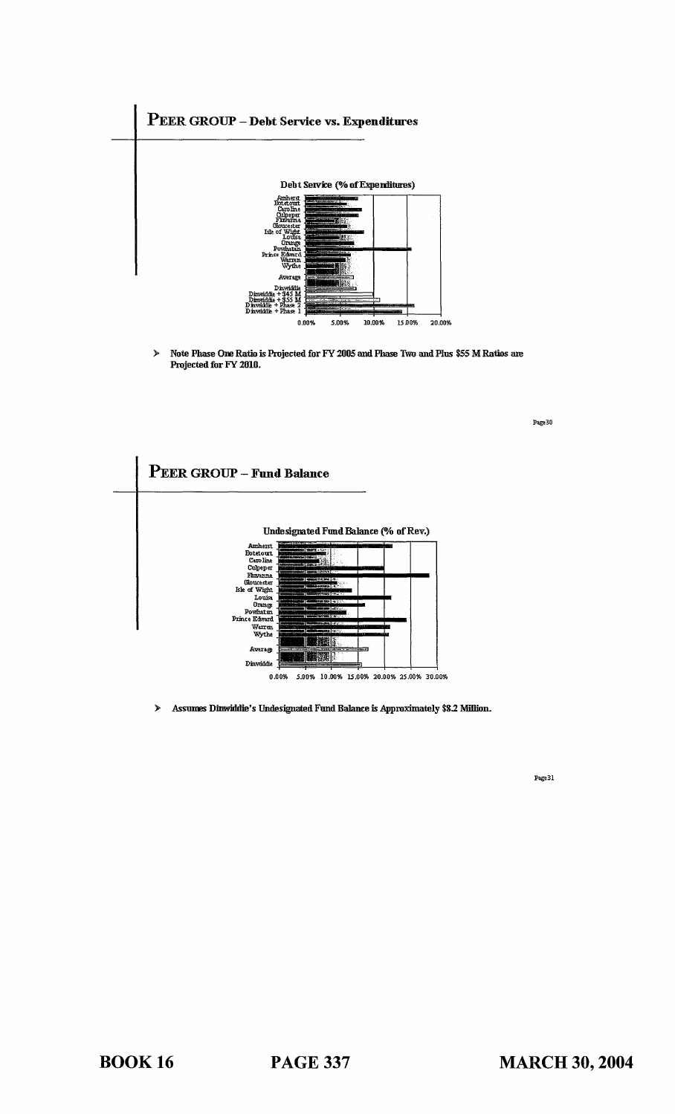

 $\blacktriangleright$ Note Phase One Ratio is Projected for FY 2005 and Phase Two and Plus \$55 M Ratios are Projected for FY 2010.

PEER GROUP - Fund Balance Undesignated Fund Balance (% of Rev.) Amherst<br>Botetourt<br>Caroline<br>Caroline<br>Phroama<br>Moutest<br>Comme<br>Powhatm<br>Narren<br>Warren<br>Warren<br>Wythe Tel 濉 **Average** i M Dinwiddie 0.00% 5.00% 10.00% 15.00% 20.00% 25.00% 30.00%

> Assumes Dinwiddie's Undesignated Fund Balance is Approximately \$8.2 Million.  $\blacktriangleright$

> > Page 31

Page 30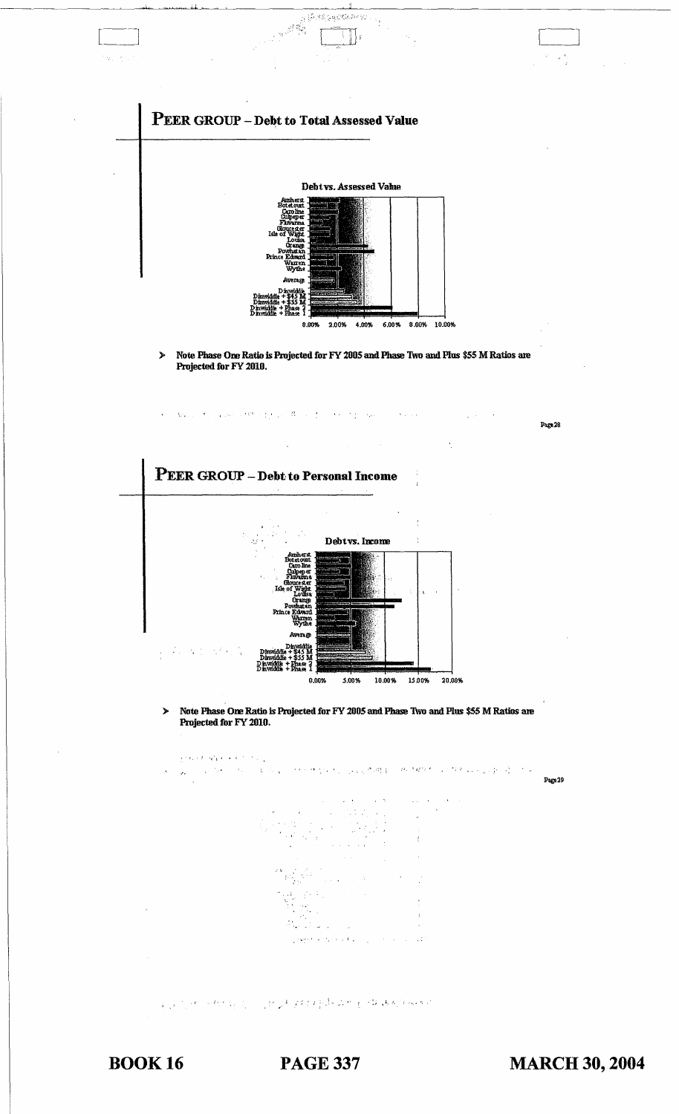

**PAGE 337**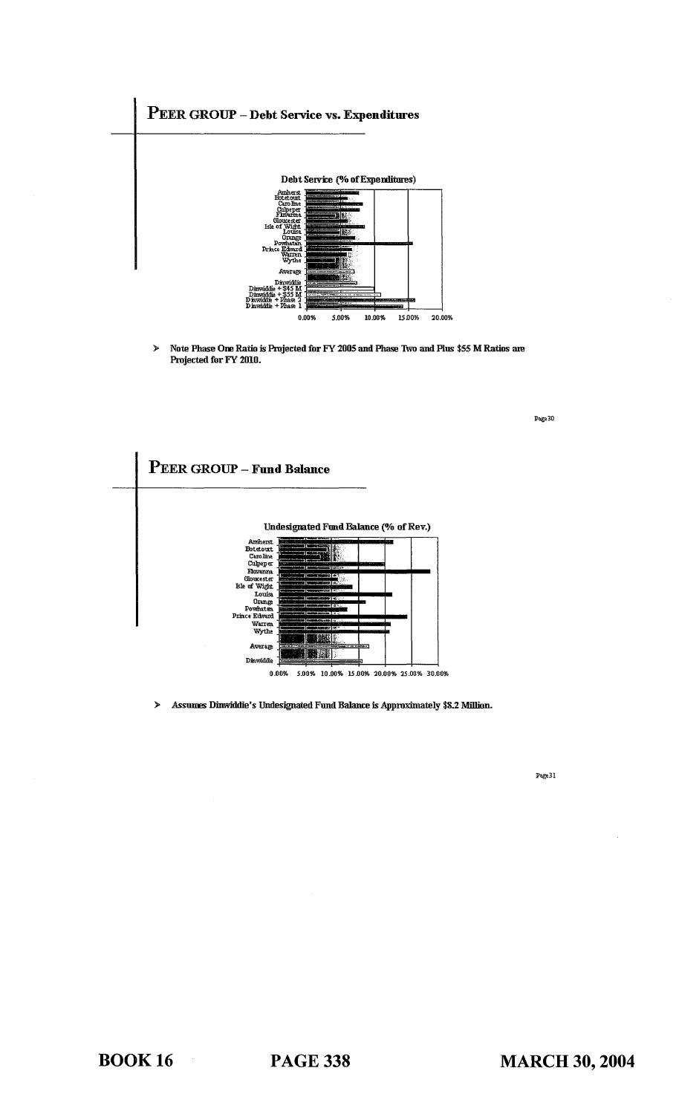

Note Phase One Ratio is Projected for FY 2005 and Phase Two and Plus \$55 M Ratios are  $\blacktriangleright$ Projected for FY 2010.

PEER GROUP - Fund Balance **Undesignated Fund Balance (% of Rev.)** Market<br>Batteuri<br>Caroline<br>Culpeper<br>Finoranta Gloucester<br>Columbus<br>Powhatan<br>Ce Edward<br>Warrent Warrent D.  $p_{\text{rf}}$ Ŧ. Average 眼罩 Dinwiddie 0.00% 5.00% 10.00% 15.00% 20.00% 25.00% 30.00%

> Assumes Dinwiddie's Undesignated Fund Balance is Approximately \$8.2 Million.

 $\mathbf{Page}\,31$ 

 $\mathbf{Page\,}30$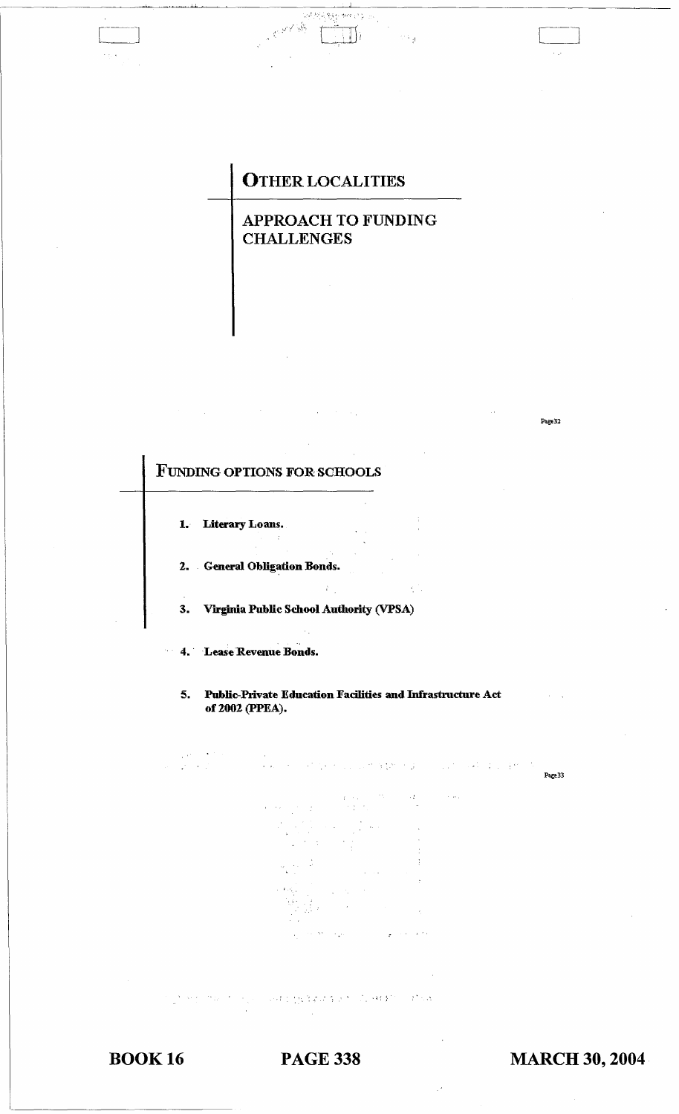## **OTHER LOCALITIES**

APPROACH TO FUNDING **CHALLENGES** 

**FUNDING OPTIONS FOR SCHOOLS** 1. Literary Loans.  $\sim$   $z$ 2. General Obligation Bonds.  $\frac{\hbar}{2}$  $3.$ Virginia Public School Authority (VPSA) 4. Lease Revenue Bonds.  $5.$ Public-Private Education Facilities and Infrastructure Act of 2002 (PPEA). Page 33 2010年10月14日1月1日 1月18日

**BOOK 16** 

**PAGE 338** 

**MARCH 30, 2004** 

Page 32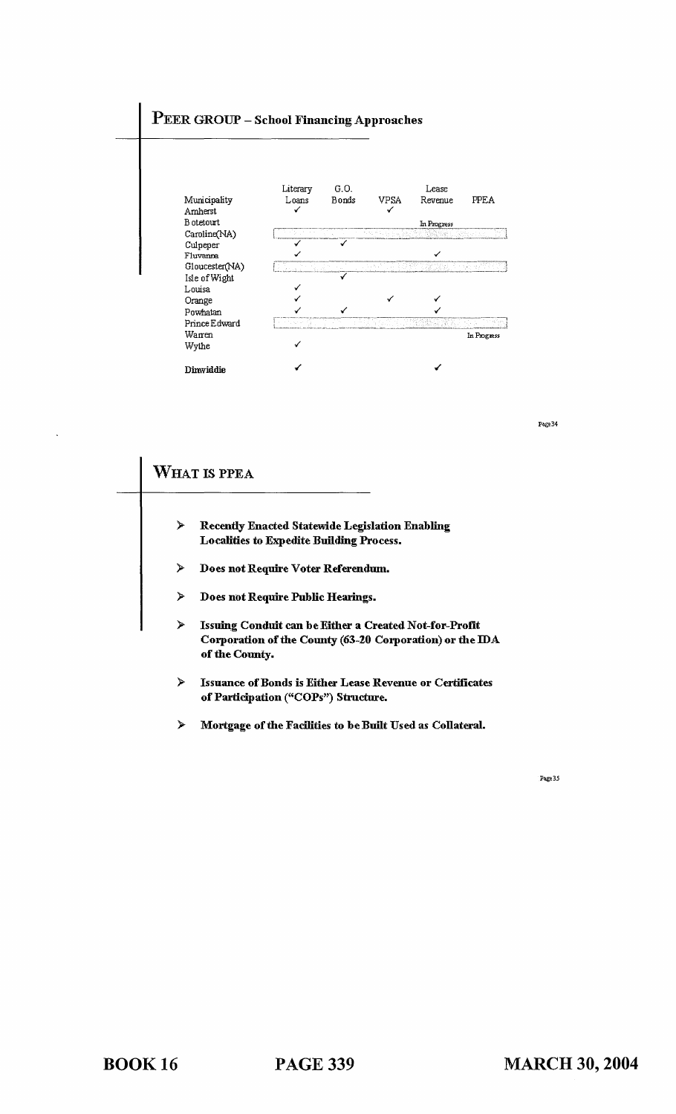# PEER GROUP - School Financing Approaches



Page 34

|   | WHAT IS PPEA                                                                                                                                |
|---|---------------------------------------------------------------------------------------------------------------------------------------------|
| ≻ | <b>Recently Enacted Statewide Legislation Enabling</b><br><b>Localities to Expedite Building Process.</b>                                   |
| ⋟ | Does not Require Voter Referendum.                                                                                                          |
| ≻ | Does not Require Public Hearings.                                                                                                           |
| ≻ | <b>Issuing Conduit can be Either a Created Not-for-Profit</b><br>Corporation of the County (63-20 Corporation) or the IDA<br>of the County. |
| ⋟ | <b>Issuance of Bonds is Either Lease Revenue or Certificates</b><br>of Participation ("COPs") Structure.                                    |
| ≻ | Mortgage of the Facilities to be Built Used as Collateral.                                                                                  |

Page 35

BOOK 16 PAGE 339

 $\ddot{\phantom{a}}$ 

 $\overline{\phantom{0}}$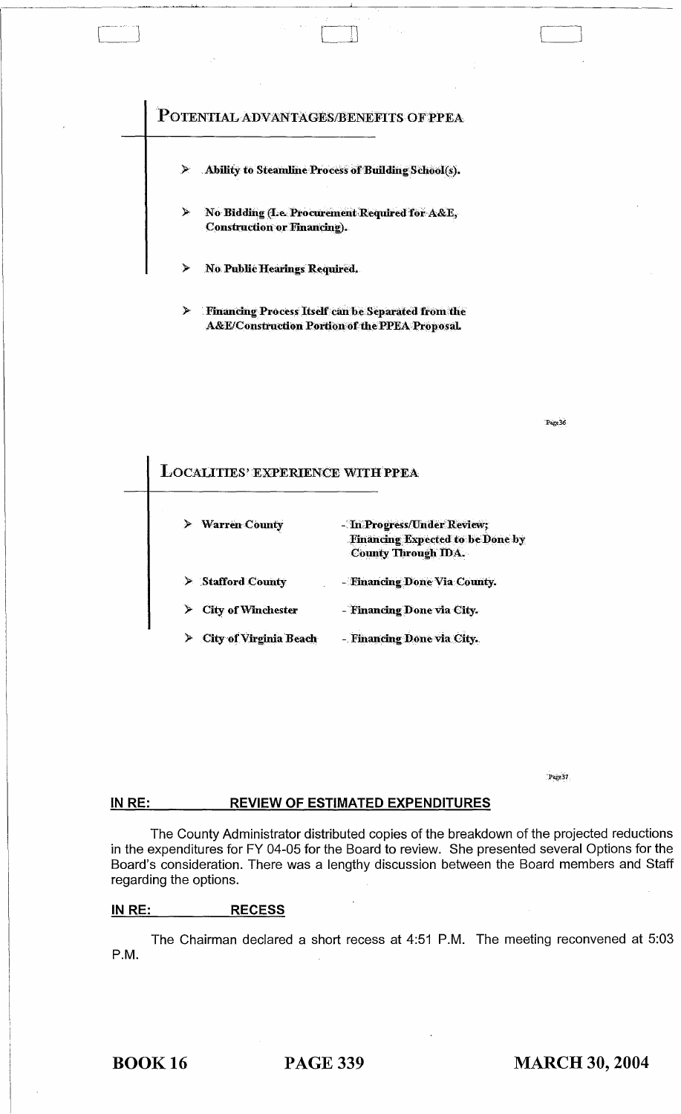### POTENTIAL ADVANTAGES/BENEFITS OF PPEA

- Ability to Steamline Process of Building School(s).
- No Bidding (I.e. Procurement Required for A&E, **Construction or Financing).**
- **No Public Hearings Required.**
- Financing Process Itself can be Separated from the  $\blacktriangleright$ A&E/Construction Portion of the PPEA Proposal.

Paze 36

### **LOCALITIES' EXPERIENCE WITH PPEA** - In Progress/Under Review; **Warren County Financing Expected to be Done by County Through IDA. Stafford County** - Financing Done Via County. **City of Winchester** - Financing Done via City.  $\blacktriangleright$ City of Virginia Beach - Financing Done via City.

Page 37

#### IN RE: **REVIEW OF ESTIMATED EXPENDITURES**

The County Administrator distributed copies of the breakdown of the projected reductions in the expenditures for FY 04-05 for the Board to review. She presented several Options for the Board's consideration. There was a lengthy discussion between the Board members and Staff regarding the options.

#### IN RE: <u>RECESS</u>

The Chairman declared a short recess at 4:51 P.M. The meeting reconvened at 5:03 P.M.